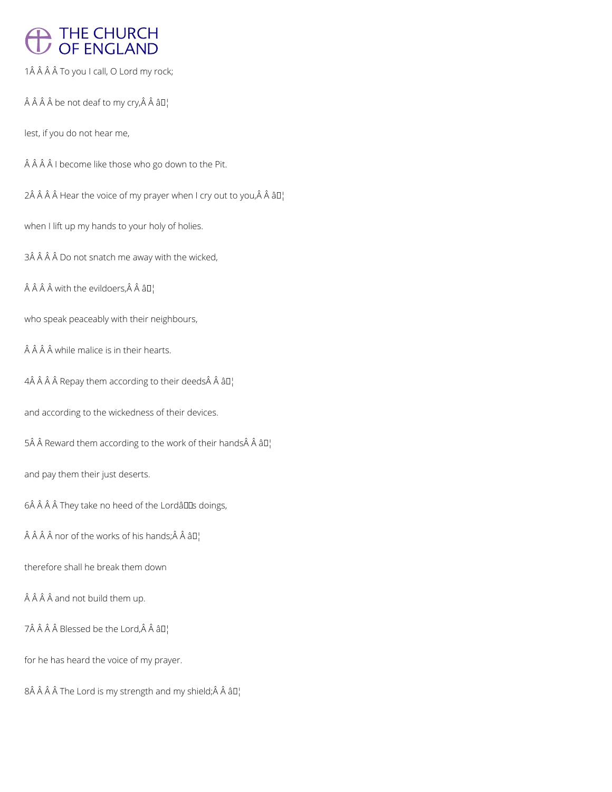# THE CHURCH<br>OF ENGLAND

1Â Â Â Â To you I call, O Lord my rock;

 $\hat{A}$   $\hat{A}$   $\hat{A}$  be not deaf to my cry, $\hat{A}$   $\hat{A}$   $\hat{a}$   $\Box$ 

lest, if you do not hear me,

Â Â Â I become like those who go down to the Pit.

 $2\hat{A}$   $\hat{A}$   $\hat{A}$   $\hat{A}$  Hear the voice of my prayer when I cry out to you, $\hat{A}$   $\hat{A}$   $\hat{a}$   $\Box$ 

when I lift up my hands to your holy of holies.

3Â Â Â Â Do not snatch me away with the wicked,

 $\hat{A}$   $\hat{A}$   $\hat{A}$  with the evildoers,  $\hat{A}$   $\hat{A}$   $\hat{a}$   $\Box$ 

who speak peaceably with their neighbours,

 $\hat{A}$  $\hat{A}$  $\hat{A}$  $\hat{A}$  while malice is in their hearts.

4 Repay them according to their deeds Â â $\square$ 

and according to the wickedness of their devices.

5 Reward them according to the work of their hands Â â $\square$ 

and pay them their just deserts.

6Â Â Â Â They take no heed of the Lordâllas doings,

 $\hat{A}$   $\hat{A}$   $\hat{A}$  nor of the works of his hands;  $\hat{A}$   $\hat{A}$   $\hat{a}$   $\Pi$ <sup>1</sup>

therefore shall he break them down

## $\hat{A}$  $\hat{A}$  $\hat{A}$  $\hat{A}$  and not build them up.

 $7\hat{A}$   $\hat{A}$   $\hat{A}$   $B$  lessed be the Lord, $\hat{A}$   $\hat{A}$   $\hat{a}\Pi$ 

for he has heard the voice of my prayer.

 $8\hat{A}$   $\hat{A}$   $\hat{A}$   $\hat{A}$  The Lord is my strength and my shield; $\hat{A}$   $\hat{A}$   $\hat{a}$   $\Box$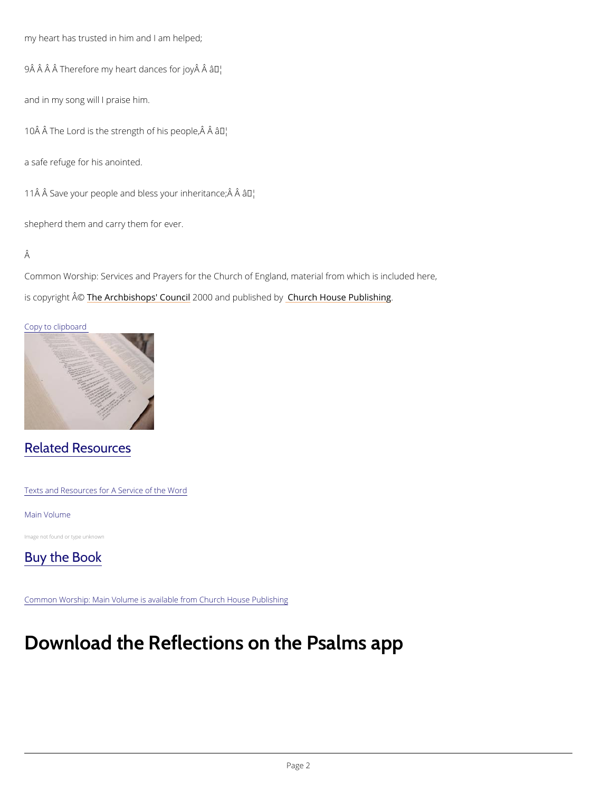my heart has trusted in him and I am helped;

9 Â Â Â Â Therefore my heart **a** a Maces for joy Â

and in my song will I praise him.

10 Å Å The Lord is the strengtha off his people,  $\hat{A}$  Å

a safe refuge for his anointed.

11 $\hat{A}$   $\hat{A}$  Save your people and bless  $\hat{g}$   $\vec{b}$ "ur inheritance;  $\hat{A}$   $\hat{A}$ 

shepherd them and carry them for ever.

#### Â

Common Worship: Services and Prayers for the Church of England, material from which is inc is copyrighth  $\hat{\mathbb{A}}$  @Archbishops' 2000 Qun and publish held roby House Publishing

#### Copy to clipboard

## Related Resources

Texts and Resources for A Service of the Word

#### Main Volume

Image not found or type unknown



Common Worship: Main Volume is available from Church House Publishing

# Download the Reflections on the Psalms a